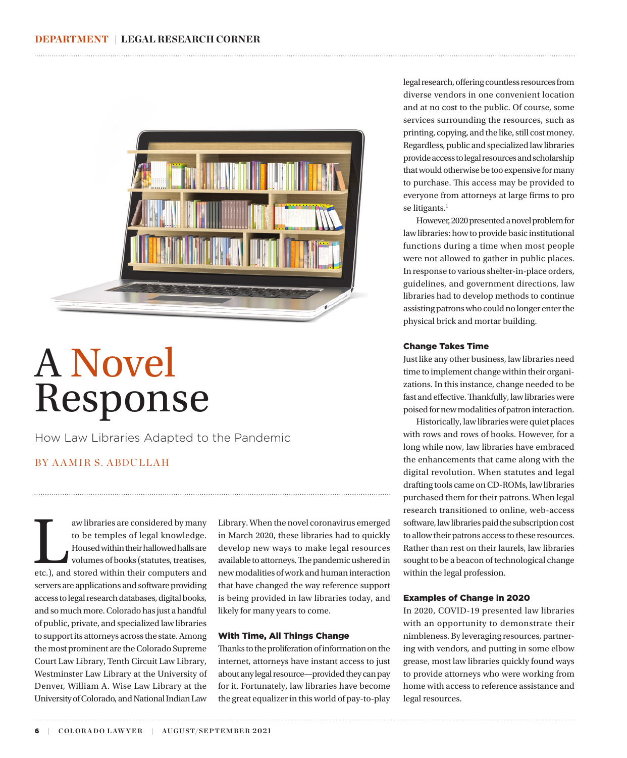

# A Novel Response

How Law Libraries Adapted to the Pandemic

## BY A AMIR S. ABDULLAH

aw libraries are considered by many<br>to be temples of legal knowledge.<br>Housed within their hallowed halls are<br>volumes of books (statutes, treatises,<br>etc.), and stored within their computers and to be temples of legal knowledge. Housed within their hallowed halls are volumes of books (statutes, treatises, servers are applications and software providing access to legal research databases, digital books, and so much more. Colorado has just a handful of public, private, and specialized law libraries to support its attorneys across the state. Among the most prominent are the Colorado Supreme Court Law Library, Tenth Circuit Law Library, Westminster Law Library at the University of Denver, William A. Wise Law Library at the University of Colorado, and National Indian Law

Library. When the novel coronavirus emerged in March 2020, these libraries had to quickly develop new ways to make legal resources available to attorneys. The pandemic ushered in new modalities of work and human interaction that have changed the way reference support is being provided in law libraries today, and likely for many years to come.

#### With Time, All Things Change

Thanks to the proliferation of information on the internet, attorneys have instant access to just about any legal resource—provided they can pay for it. Fortunately, law libraries have become the great equalizer in this world of pay-to-play legal research, offering countless resources from diverse vendors in one convenient location and at no cost to the public. Of course, some services surrounding the resources, such as printing, copying, and the like, still cost money. Regardless, public and specialized law libraries provide access to legal resources and scholarship that would otherwise be too expensive for many to purchase. This access may be provided to everyone from attorneys at large firms to pro se litigants.<sup>1</sup>

However, 2020 presented a novel problem for law libraries: how to provide basic institutional functions during a time when most people were not allowed to gather in public places. In response to various shelter-in-place orders, guidelines, and government directions, law libraries had to develop methods to continue assisting patrons who could no longer enter the physical brick and mortar building.

#### Change Takes Time

Just like any other business, law libraries need time to implement change within their organizations. In this instance, change needed to be fast and effective. Thankfully, law libraries were poised for new modalities of patron interaction.

Historically, law libraries were quiet places with rows and rows of books. However, for a long while now, law libraries have embraced the enhancements that came along with the digital revolution. When statutes and legal drafting tools came on CD-ROMs, law libraries purchased them for their patrons. When legal research transitioned to online, web-access software, law libraries paid the subscription cost to allow their patrons access to these resources. Rather than rest on their laurels, law libraries sought to be a beacon of technological change within the legal profession.

#### Examples of Change in 2020

In 2020, COVID-19 presented law libraries with an opportunity to demonstrate their nimbleness. By leveraging resources, partnering with vendors, and putting in some elbow grease, most law libraries quickly found ways to provide attorneys who were working from home with access to reference assistance and legal resources.